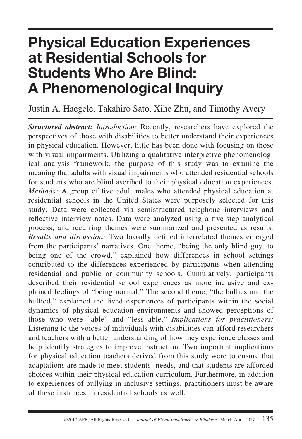# **Physical Education Experiences at Residential Schools for Students Who Are Blind: A Phenomenological Inquiry**

Justin A. Haegele, Takahiro Sato, Xihe Zhu, and Timothy Avery

*Structured abstract: Introduction:* Recently, researchers have explored the perspectives of those with disabilities to better understand their experiences in physical education. However, little has been done with focusing on those with visual impairments. Utilizing a qualitative interpretive phenomenological analysis framework, the purpose of this study was to examine the meaning that adults with visual impairments who attended residential schools for students who are blind ascribed to their physical education experiences. *Methods:* A group of five adult males who attended physical education at residential schools in the United States were purposely selected for this study. Data were collected via semistructured telephone interviews and reflective interview notes. Data were analyzed using a five-step analytical process, and recurring themes were summarized and presented as results*. Results and discussion:* Two broadly defined interrelated themes emerged from the participants' narratives. One theme, "being the only blind guy, to being one of the crowd," explained how differences in school settings contributed to the differences experienced by participants when attending residential and public or community schools. Cumulatively, participants described their residential school experiences as more inclusive and explained feelings of "being normal." The second theme, "the bullies and the bullied," explained the lived experiences of participants within the social dynamics of physical education environments and showed perceptions of those who were "able" and "less able." *Implications for practitioners:* Listening to the voices of individuals with disabilities can afford researchers and teachers with a better understanding of how they experience classes and help identify strategies to improve instruction. Two important implications for physical education teachers derived from this study were to ensure that adaptations are made to meet students' needs, and that students are afforded choices within their physical education curriculum. Furthermore, in addition to experiences of bullying in inclusive settings, practitioners must be aware of these instances in residential schools as well.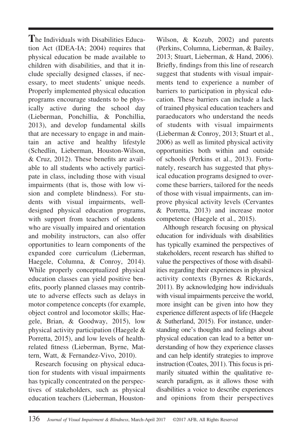**T**he Individuals with Disabilities Education Act (IDEA-IA; 2004) requires that physical education be made available to children with disabilities, and that it include specially designed classes, if necessary, to meet students' unique needs. Properly implemented physical education programs encourage students to be physically active during the school day (Lieberman, Ponchillia, & Ponchillia, 2013), and develop fundamental skills that are necessary to engage in and maintain an active and healthy lifestyle (Schedlin, Lieberman, Houston-Wilson, & Cruz, 2012). These benefits are available to all students who actively participate in class, including those with visual impairments (that is, those with low vision and complete blindness). For students with visual impairments, welldesigned physical education programs, with support from teachers of students who are visually impaired and orientation and mobility instructors, can also offer opportunities to learn components of the expanded core curriculum (Lieberman, Haegele, Columna, & Conroy, 2014). While properly conceptualized physical education classes can yield positive benefits, poorly planned classes may contribute to adverse effects such as delays in motor competence concepts (for example, object control and locomotor skills; Haegele, Brian, & Goodway, 2015), low physical activity participation (Haegele & Porretta, 2015), and low levels of healthrelated fitness (Lieberman, Byrne, Mattern, Watt, & Fernandez-Vivo, 2010).

Research focusing on physical education for students with visual impairments has typically concentrated on the perspectives of stakeholders, such as physical education teachers (Lieberman, Houston-

Wilson, & Kozub, 2002) and parents (Perkins, Columna, Lieberman, & Bailey, 2013; Stuart, Lieberman, & Hand, 2006). Briefly, findings from this line of research suggest that students with visual impairments tend to experience a number of barriers to participation in physical education. These barriers can include a lack of trained physical education teachers and paraeducators who understand the needs of students with visual impairments (Lieberman & Conroy, 2013; Stuart et al., 2006) as well as limited physical activity opportunities both within and outside of schools (Perkins et al., 2013). Fortunately, research has suggested that physical education programs designed to overcome these barriers, tailored for the needs of those with visual impairments, can improve physical activity levels (Cervantes & Porretta, 2013) and increase motor competence (Haegele et al., 2015).

Although research focusing on physical education for individuals with disabilities has typically examined the perspectives of stakeholders, recent research has shifted to value the perspectives of those with disabilities regarding their experiences in physical activity contexts (Byrnes & Rickards, 2011). By acknowledging how individuals with visual impairments perceive the world, more insight can be given into how they experience different aspects of life (Haegele & Sutherland, 2015). For instance, understanding one's thoughts and feelings about physical education can lead to a better understanding of how they experience classes and can help identify strategies to improve instruction (Coates, 2011). This focus is primarily situated within the qualitative research paradigm, as it allows those with disabilities a voice to describe experiences and opinions from their perspectives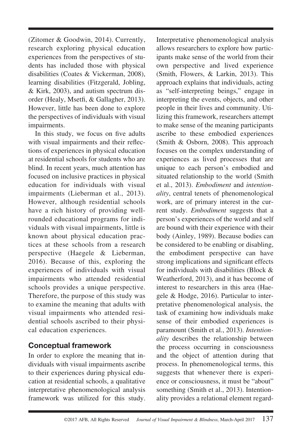(Zitomer & Goodwin, 2014). Currently, research exploring physical education experiences from the perspectives of students has included those with physical disabilities (Coates & Vickerman, 2008), learning disabilities (Fitzgerald, Jobling, & Kirk, 2003), and autism spectrum disorder (Healy, Msetfi, & Gallagher, 2013). However, little has been done to explore the perspectives of individuals with visual impairments.

In this study, we focus on five adults with visual impairments and their reflections of experiences in physical education at residential schools for students who are blind. In recent years, much attention has focused on inclusive practices in physical education for individuals with visual impairments (Lieberman et al., 2013). However, although residential schools have a rich history of providing wellrounded educational programs for individuals with visual impairments, little is known about physical education practices at these schools from a research perspective (Haegele & Lieberman, 2016). Because of this, exploring the experiences of individuals with visual impairments who attended residential schools provides a unique perspective. Therefore, the purpose of this study was to examine the meaning that adults with visual impairments who attended residential schools ascribed to their physical education experiences.

## **Conceptual framework**

In order to explore the meaning that individuals with visual impairments ascribe to their experiences during physical education at residential schools, a qualitative interpretative phenomenological analysis framework was utilized for this study. Interpretative phenomenological analysis allows researchers to explore how participants make sense of the world from their own perspective and lived experience (Smith, Flowers, & Larkin, 2013). This approach explains that individuals, acting as "self-interpreting beings," engage in interpreting the events, objects, and other people in their lives and community. Utilizing this framework, researchers attempt to make sense of the meaning participants ascribe to these embodied experiences (Smith & Osborn, 2008). This approach focuses on the complex understanding of experiences as lived processes that are unique to each person's embodied and situated relationship to the world (Smith et al., 2013). *Embodiment* and *intentionality*, central tenets of phenomenological work, are of primary interest in the current study. *Embodiment* suggests that a person's experiences of the world and self are bound with their experience with their body (Ainley, 1989). Because bodies can be considered to be enabling or disabling, the embodiment perspective can have strong implications and significant effects for individuals with disabilities (Block & Weatherford, 2013), and it has become of interest to researchers in this area (Haegele & Hodge, 2016). Particular to interpretative phenomenological analysis, the task of examining how individuals make sense of their embodied experiences is paramount (Smith et al., 2013). *Intentionality* describes the relationship between the process occurring in consciousness and the object of attention during that process. In phenomenological terms, this suggests that whenever there is experience or consciousness, it must be "about" something (Smith et al., 2013). Intentionality provides a relational element regard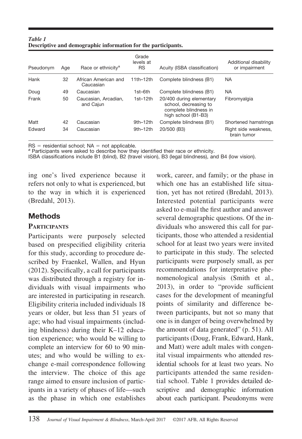| Table 1                                                       |  |
|---------------------------------------------------------------|--|
| Descriptive and demographic information for the participants. |  |

| Pseudonym | Age | Race or ethnicity <sup>a</sup>    | Grade<br>levels at<br><b>RS</b> | Acuity (ISBA classification)                                                                      | Additional disability<br>or impairment |
|-----------|-----|-----------------------------------|---------------------------------|---------------------------------------------------------------------------------------------------|----------------------------------------|
| Hank      | 32  | African American and<br>Caucasian | $11th-12th$                     | Complete blindness (B1)                                                                           | NA                                     |
| Doug      | 49  | Caucasian                         | 1st–6th                         | Complete blindness (B1)                                                                           | NA                                     |
| Frank     | 50  | Caucasian, Arcadian.<br>and Cajun | $1st-12th$                      | 20/400 during elementary<br>school, decreasing to<br>complete blindness in<br>high school (B1-B3) | Fibromyalgia                           |
| Matt      | 42  | Caucasian                         | $9th-12th$                      | Complete blindness (B1)                                                                           | Shortened hamstrings                   |
| Edward    | 34  | Caucasian                         | $9th-12th$                      | 20/500 (B3)                                                                                       | Right side weakness,<br>brain tumor    |

 $RS =$  residential school;  $NA =$  not applicable.

*<sup>a</sup>* Participants were asked to describe how they identified their race or ethnicity.

ISBA classifications include B1 (blind), B2 (travel vision), B3 (legal blindness), and B4 (low vision).

ing one's lived experience because it refers not only to what is experienced, but to the way in which it is experienced (Bredahl, 2013).

## **Methods**

#### **PARTICIPANTS**

Participants were purposely selected based on prespecified eligibility criteria for this study, according to procedure described by Fraenkel, Wallen, and Hyun (2012). Specifically, a call for participants was distributed through a registry for individuals with visual impairments who are interested in participating in research. Eligibility criteria included individuals 18 years or older, but less than 51 years of age; who had visual impairments (including blindness) during their K–12 education experience; who would be willing to complete an interview for 60 to 90 minutes; and who would be willing to exchange e-mail correspondence following the interview. The choice of this age range aimed to ensure inclusion of participants in a variety of phases of life—such as the phase in which one establishes

work, career, and family; or the phase in which one has an established life situation, yet has not retired (Bredahl, 2013). Interested potential participants were asked to e-mail the first author and answer several demographic questions. Of the individuals who answered this call for participants, those who attended a residential school for at least two years were invited to participate in this study. The selected participants were purposely small, as per recommendations for interpretative phenomenological analysis (Smith et al., 2013), in order to "provide sufficient cases for the development of meaningful points of similarity and difference between participants, but not so many that one is in danger of being overwhelmed by the amount of data generated" (p. 51). All participants (Doug, Frank, Edward, Hank, and Matt) were adult males with congenital visual impairments who attended residential schools for at least two years. No participants attended the same residential school. Table 1 provides detailed descriptive and demographic information about each participant. Pseudonyms were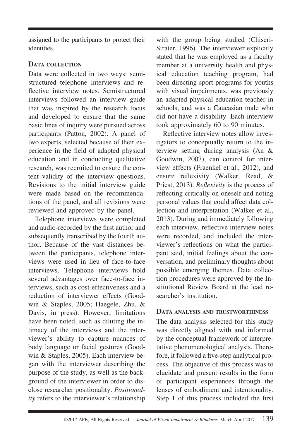assigned to the participants to protect their identities.

#### **DATA COLLECTION**

Data were collected in two ways: semistructured telephone interviews and reflective interview notes. Semistructured interviews followed an interview guide that was inspired by the research focus and developed to ensure that the same basic lines of inquiry were pursued across participants (Patton, 2002). A panel of two experts, selected because of their experience in the field of adapted physical education and in conducting qualitative research, was recruited to ensure the content validity of the interview questions. Revisions to the initial interview guide were made based on the recommendations of the panel, and all revisions were reviewed and approved by the panel.

Telephone interviews were completed and audio-recorded by the first author and subsequently transcribed by the fourth author. Because of the vast distances between the participants, telephone interviews were used in lieu of face-to-face interviews. Telephone interviews hold several advantages over face-to-face interviews, such as cost-effectiveness and a reduction of interviewer effects (Goodwin & Staples, 2005; Haegele, Zhu, & Davis, in press). However, limitations have been noted, such as diluting the intimacy of the interviews and the interviewer's ability to capture nuances of body language or facial gestures (Goodwin & Staples, 2005). Each interview began with the interviewer describing the purpose of the study, as well as the background of the interviewer in order to disclose researcher positionality. *Positionality* refers to the interviewer's relationship

with the group being studied (Chiseri-Strater, 1996). The interviewer explicitly stated that he was employed as a faculty member at a university health and physical education teaching program, had been directing sport programs for youths with visual impairments, was previously an adapted physical education teacher in schools, and was a Caucasian male who did not have a disability. Each interview took approximately 60 to 90 minutes.

Reflective interview notes allow investigators to conceptually return to the interview setting during analysis (An & Goodwin, 2007), can control for interview effects (Fraenkel et al., 2012), and ensure reflexivity (Walker, Read, & Priest, 2013). *Reflexivity* is the process of reflecting critically on oneself and noting personal values that could affect data collection and interpretation (Walker et al., 2013). During and immediately following each interview, reflective interview notes were recorded, and included the interviewer's reflections on what the participant said, initial feelings about the conversation, and preliminary thoughts about possible emerging themes. Data collection procedures were approved by the Institutional Review Board at the lead researcher's institution.

#### **DATA ANALYSIS AND TRUSTWORTHINESS**

The data analysis selected for this study was directly aligned with and informed by the conceptual framework of interpretative phenomenological analysis. Therefore, it followed a five-step analytical process. The objective of this process was to elucidate and present results in the form of participant experiences through the lenses of embodiment and intentionality*.* Step 1 of this process included the first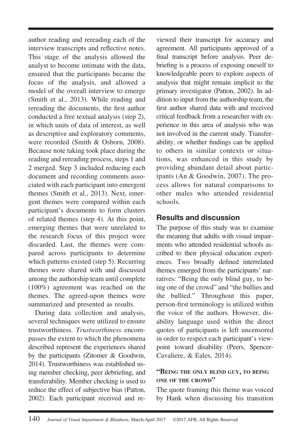author reading and rereading each of the interview transcripts and reflective notes. This stage of the analysis allowed the analyst to become intimate with the data, ensured that the participants became the focus of the analysis, and allowed a model of the overall interview to emerge (Smith et al., 2013). While reading and rereading the documents, the first author conducted a free textual analysis (step 2), in which units of data of interest, as well as descriptive and exploratory comments, were recorded (Smith & Osborn, 2008). Because note taking took place during the reading and rereading process, steps 1 and 2 merged. Step 3 included reducing each document and recording comments associated with each participant into emergent themes (Smith et al., 2013). Next, emergent themes were compared within each participant's documents to form clusters of related themes (step 4). At this point, emerging themes that were unrelated to the research focus of this project were discarded. Last, the themes were compared across participants to determine which patterns existed (step 5). Recurring themes were shared with and discussed among the authorship team until complete (100%) agreement was reached on the themes. The agreed-upon themes were summarized and presented as results.

During data collection and analysis, several techniques were utilized to ensure trustworthiness. *Trustworthiness* encompasses the extent to which the phenomena described represent the experiences shared by the participants (Zitomer & Goodwin, 2014). Trustworthiness was established using member checking, peer debriefing, and transferability. Member checking is used to reduce the effect of subjective bias (Patton, 2002). Each participant received and re-

viewed their transcript for accuracy and agreement. All participants approved of a final transcript before analysis. Peer debriefing is a process of exposing oneself to knowledgeable peers to explore aspects of analysis that might remain implicit to the primary investigator (Patton, 2002). In addition to input from the authorship team, the first author shared data with and received critical feedback from a researcher with experience in this area of analysis who was not involved in the current study. Transferability, or whether findings can be applied to others in similar contexts or situations, was enhanced in this study by providing abundant detail about participants (An & Goodwin, 2007). The process allows for natural comparisons to other males who attended residential schools.

## **Results and discussion**

The purpose of this study was to examine the meaning that adults with visual impairments who attended residential schools ascribed to their physical education experiences. Two broadly defined interrelated themes emerged from the participants' narratives: "Being the only blind guy, to being one of the crowd" and "the bullies and the bullied." Throughout this paper, person-first terminology is utilized within the voice of the authors. However, disability language used within the direct quotes of participants is left uncensored in order to respect each participant's viewpoint toward disability (Peers, Spencer-Cavaliere, & Eales, 2014).

#### **"BEING THE ONLY BLIND GUY, TO BEING ONE OF THE CROWD"**

The quote framing this theme was voiced by Hank when discussing his transition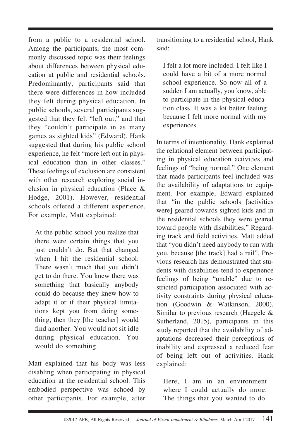from a public to a residential school. Among the participants, the most commonly discussed topic was their feelings about differences between physical education at public and residential schools. Predominantly, participants said that there were differences in how included they felt during physical education. In public schools, several participants suggested that they felt "left out," and that they "couldn't participate in as many games as sighted kids" (Edward). Hank suggested that during his public school experience, he felt "more left out in physical education than in other classes." These feelings of exclusion are consistent with other research exploring social inclusion in physical education (Place & Hodge, 2001). However, residential schools offered a different experience. For example, Matt explained:

At the public school you realize that there were certain things that you just couldn't do. But that changed when I hit the residential school. There wasn't much that you didn't get to do there. You knew there was something that basically anybody could do because they knew how to adapt it or if their physical limitations kept you from doing something, then they [the teacher] would find another. You would not sit idle during physical education. You would do something.

Matt explained that his body was less disabling when participating in physical education at the residential school. This embodied perspective was echoed by other participants. For example, after

transitioning to a residential school, Hank said:

I felt a lot more included. I felt like I could have a bit of a more normal school experience. So now all of a sudden I am actually, you know, able to participate in the physical education class. It was a lot better feeling because I felt more normal with my experiences.

In terms of intentionality, Hank explained the relational element between participating in physical education activities and feelings of "being normal." One element that made participants feel included was the availability of adaptations to equipment. For example, Edward explained that "in the public schools [activities were] geared towards sighted kids and in the residential schools they were geared toward people with disabilities." Regarding track and field activities, Matt added that "you didn't need anybody to run with you, because [the track] had a rail". Previous research has demonstrated that students with disabilities tend to experience feelings of being "unable" due to restricted participation associated with activity constraints during physical education (Goodwin & Watkinson, 2000). Similar to previous research (Haegele & Sutherland, 2015), participants in this study reported that the availability of adaptations decreased their perceptions of inability and expressed a reduced fear of being left out of activities. Hank explained:

Here, I am in an environment where I could actually do more. The things that you wanted to do.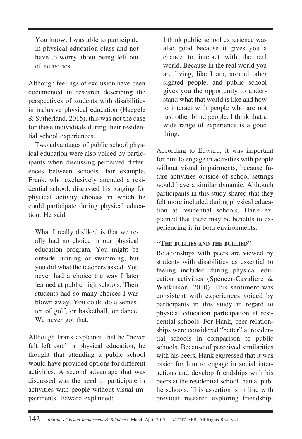You know, I was able to participate in physical education class and not have to worry about being left out of activities.

Although feelings of exclusion have been documented in research describing the perspectives of students with disabilities in inclusive physical education (Haegele & Sutherland, 2015), this was not the case for these individuals during their residential school experiences.

Two advantages of public school physical education were also voiced by participants when discussing perceived differences between schools. For example, Frank, who exclusively attended a residential school, discussed his longing for physical activity choices in which he could participate during physical education. He said:

What I really disliked is that we really had no choice in our physical education program. You might be outside running or swimming, but you did what the teachers asked. You never had a choice the way I later learned at public high schools. Their students had so many choices I was blown away. You could do a semester of golf, or basketball, or dance. We never got that.

Although Frank explained that he "never felt left out" in physical education, he thought that attending a public school would have provided options for different activities. A second advantage that was discussed was the need to participate in activities with people without visual impairments. Edward explained:

I think public school experience was also good because it gives you a chance to interact with the real world. Because in the real world you are living, like I am, around other sighted people, and public school gives you the opportunity to understand what that world is like and how to interact with people who are not just other blind people. I think that a wide range of experience is a good thing.

According to Edward, it was important for him to engage in activities with people without visual impairments, because future activities outside of school settings would have a similar dynamic. Although participants in this study shared that they felt more included during physical education at residential schools, Hank explained that there may be benefits to experiencing it in both environments.

#### **"THE BULLIES AND THE BULLIED"**

Relationships with peers are viewed by students with disabilities as essential to feeling included during physical education activities (Spencer-Cavaliere & Watkinson, 2010). This sentiment was consistent with experiences voiced by participants in this study in regard to physical education participation at residential schools. For Hank, peer relationships were considered "better" at residential schools in comparison to public schools. Because of perceived similarities with his peers, Hank expressed that it was easier for him to engage in social interactions and develop friendships with his peers at the residential school than at public schools. This assertion is in line with previous research exploring friendship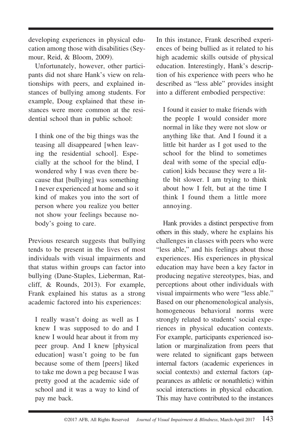developing experiences in physical education among those with disabilities (Seymour, Reid, & Bloom, 2009).

Unfortunately, however, other participants did not share Hank's view on relationships with peers, and explained instances of bullying among students. For example, Doug explained that these instances were more common at the residential school than in public school:

I think one of the big things was the teasing all disappeared [when leaving the residential school]. Especially at the school for the blind, I wondered why I was even there because that [bullying] was something I never experienced at home and so it kind of makes you into the sort of person where you realize you better not show your feelings because nobody's going to care.

Previous research suggests that bullying tends to be present in the lives of most individuals with visual impairments and that status within groups can factor into bullying (Dane-Staples, Lieberman, Ratcliff, & Rounds, 2013). For example, Frank explained his status as a strong academic factored into his experiences:

I really wasn't doing as well as I knew I was supposed to do and I knew I would hear about it from my peer group. And I knew [physical education] wasn't going to be fun because some of them [peers] liked to take me down a peg because I was pretty good at the academic side of school and it was a way to kind of pay me back.

In this instance, Frank described experiences of being bullied as it related to his high academic skills outside of physical education. Interestingly, Hank's description of his experience with peers who he described as "less able" provides insight into a different embodied perspective:

I found it easier to make friends with the people I would consider more normal in like they were not slow or anything like that. And I found it a little bit harder as I got used to the school for the blind to sometimes deal with some of the special ed[ucation] kids because they were a little bit slower. I am trying to think about how I felt, but at the time I think I found them a little more annoying.

Hank provides a distinct perspective from others in this study, where he explains his challenges in classes with peers who were "less able," and his feelings about those experiences. His experiences in physical education may have been a key factor in producing negative stereotypes, bias, and perceptions about other individuals with visual impairments who were "less able." Based on our phenomenological analysis, homogeneous behavioral norms were strongly related to students' social experiences in physical education contexts. For example, participants experienced isolation or marginalization from peers that were related to significant gaps between internal factors (academic experiences in social contexts) and external factors (appearances as athletic or nonathletic) within social interactions in physical education. This may have contributed to the instances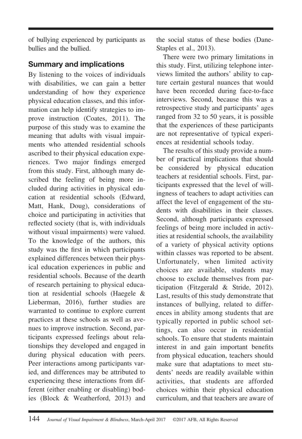of bullying experienced by participants as bullies and the bullied.

### **Summary and implications**

By listening to the voices of individuals with disabilities, we can gain a better understanding of how they experience physical education classes, and this information can help identify strategies to improve instruction (Coates, 2011). The purpose of this study was to examine the meaning that adults with visual impairments who attended residential schools ascribed to their physical education experiences. Two major findings emerged from this study. First, although many described the feeling of being more included during activities in physical education at residential schools (Edward, Matt, Hank, Doug), considerations of choice and participating in activities that reflected society (that is, with individuals without visual impairments) were valued. To the knowledge of the authors, this study was the first in which participants explained differences between their physical education experiences in public and residential schools. Because of the dearth of research pertaining to physical education at residential schools (Haegele & Lieberman, 2016), further studies are warranted to continue to explore current practices at these schools as well as avenues to improve instruction. Second, participants expressed feelings about relationships they developed and engaged in during physical education with peers. Peer interactions among participants varied, and differences may be attributed to experiencing these interactions from different (either enabling or disabling) bodies (Block & Weatherford, 2013) and the social status of these bodies (Dane-Staples et al., 2013).

There were two primary limitations in this study. First, utilizing telephone interviews limited the authors' ability to capture certain gestural nuances that would have been recorded during face-to-face interviews. Second, because this was a retrospective study and participants' ages ranged from 32 to 50 years, it is possible that the experiences of these participants are not representative of typical experiences at residential schools today.

The results of this study provide a number of practical implications that should be considered by physical education teachers at residential schools. First, participants expressed that the level of willingness of teachers to adapt activities can affect the level of engagement of the students with disabilities in their classes. Second, although participants expressed feelings of being more included in activities at residential schools, the availability of a variety of physical activity options within classes was reported to be absent. Unfortunately, when limited activity choices are available, students may choose to exclude themselves from participation (Fitzgerald & Stride, 2012). Last, results of this study demonstrate that instances of bullying, related to differences in ability among students that are typically reported in public school settings, can also occur in residential schools. To ensure that students maintain interest in and gain important benefits from physical education, teachers should make sure that adaptations to meet students' needs are readily available within activities, that students are afforded choices within their physical education curriculum, and that teachers are aware of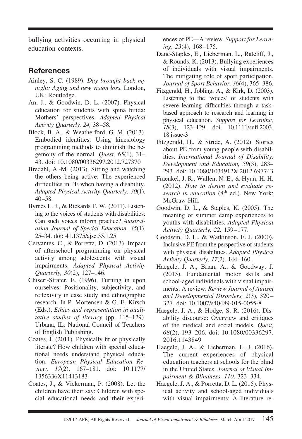bullying activities occurring in physical education contexts.

## **References**

- Ainley, S. C. (1989). *Day brought back my night: Aging and new vision loss.* London, UK: Routledge.
- An, J., & Goodwin, D. L. (2007). Physical education for students with spina bifida: Mothers' perspectives. *Adapted Physical Activity Quarterly, 24,* 38 –58.
- Block, B. A., & Weatherford, G. M. (2013). Embodied identities: Using kinesiology programming methods to diminish the hegemony of the normal. *Quest, 65*(1), 31– 43. doi: 10.1080/00336297.2012.727370
- Bredahl, A.-M. (2013). Sitting and watching the others being active: The experienced difficulties in PE when having a disability. *Adapted Physical Activity Quarterly, 30*(1),  $40 - 58$ .
- Byrnes L. J., & Rickards F. W. (2011). Listening to the voices of students with disabilities: Can such voices inform practice? *Autstralasian Journal of Special Education, 35*(1), 25–34. doi: 41.1375/ajse.35.1.25
- Cervantes, C., & Porretta, D. (2013). Impact of afterschool programming on physical activity among adolescents with visual impairments. *Adapted Physical Activity Quarterly, 30*(2), 127–146.
- Chiseri-Strater, E. (1996). Turning in upon ourselves: Positionality, subjectivity, and reflexivity in case study and ethnographic research. In P. Mortensen & G. E. Kirsch (Eds.), *Ethics and representation in qualitative studies of literacy* (pp. 115–129). Urbana, IL: National Council of Teachers of English Publishing.
- Coates, J. (2011). Physically fit or physically literate? How children with special educational needs understand physical education. *European Physical Education Review, 17*(2), 167–181. doi: 10.1177/ 1356336X11413183
- Coates, J., & Vickerman, P. (2008). Let the children have their say: Children with special educational needs and their experi-

ences of PE—A review. *Support for Learning, 23*(4), 168 –175.

- Dane-Staples, E., Lieberman, L., Ratcliff, J., & Rounds, K. (2013). Bullying experiences of individuals with visual impairments. The mitigating role of sport participation. *Journal of Sport Behavior, 36*(4), 365–386.
- Fitzgerald, H., Jobling, A., & Kirk, D. (2003). Listening to the 'voices' of students with severe learning difficulties through a taskbased approach to research and learning in physical education. *Support for Learning, 18*(3), 123–129. doi: 10.1111/sufl.2003. 18.issue-3
- Fitzgerald, H., & Stride, A. (2012). Stories about PE from young people with disabilities. *International Journal of Disability, Development and Education, 59*(3), 283– 293. doi: 10.1080/1034912X.2012.697743
- Fraenkel, J. R., Wallen, N. E., & Hyun, H. H. (2012). *How to design and evaluate research in education* (8th ed.). New York: McGraw-Hill.
- Goodwin, D. L., & Staples, K. (2005). The meaning of summer camp experiences to youths with disabilities. *Adapted Physical Activity Quarterly, 22,* 159–177.
- Goodwin, D. L., & Watkinson, E. J. (2000). Inclusive PE from the perspective of students with physical disabilities. *Adapted Physical Activity Quarterly, 17*(2)*,* 144 –160.
- Haegele, J. A., Brian, A., & Goodway, J. (2015). Fundamental motor skills and school-aged individuals with visual impairments: A review. *Review Journal of Autism and Developmental Disorders, 2*(3), 320– 327. doi: 10.1007/s40489-015-0055-8
- Haegele, J. A., & Hodge, S. R. (2016). Disability discourse: Overview and critiques of the medical and social models. *Quest, 68*(2), 193–206. doi: 10.1080/00336297. 2016.1143849
- Haegele, J. A., & Lieberman, L. J. (2016). The current experiences of physical education teachers at schools for the blind in the United States. *Journal of Visual Impairment & Blindness, 110,* 323–334.
- Haegele, J. A., & Porretta, D. L. (2015). Physical activity and school-aged individuals with visual impairments: A literature re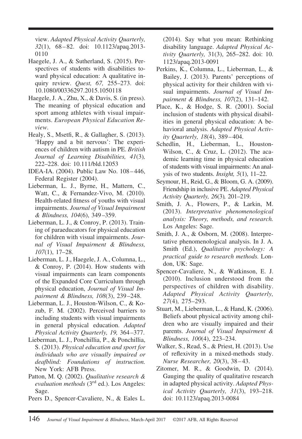view. *Adapted Physical Activity Quarterly, 32*(1), 68–82. doi: 10.1123/apaq.2013-0110

- Haegele, J. A., & Sutherland, S. (2015). Perspectives of students with disabilities toward physical education: A qualitative inquiry review. *Quest, 67,* 255–273. doi: 10.1080/00336297.2015.1050118
- Haegele, J. A., Zhu, X., & Davis, S. (in press). The meaning of physical education and sport among athletes with visual impairments. *European Physical Education Review.*
- Healy, S., Msetfi, R., & Gallagher, S. (2013). 'Happy and a bit nervous': The experiences of children with autism in PE. *British Journal of Learning Disabilities, 41*(3)*,* 222–228. doi: 10.111/bld.12053
- IDEA-IA. (2004). Public Law No. 108– 446, Federal Register (2004).
- Lieberman, L. J., Byrne, H., Mattern, C., Watt, C., & Fernandez-Vivo, M. (2010). Health-related fitness of youths with visual impairments. *Journal of Visual Impairment & Blindness, 104*(6), 349–359.
- Lieberman, L. J., & Conroy, P. (2013). Training of paraeducators for physical education for children with visual impairments. *Journal of Visual Impairment & Blindness, 107*(1), 17–28.
- Lieberman, L. J., Haegele, J. A., Columna, L., & Conroy, P. (2014). How students with visual impairments can learn components of the Expanded Core Curriculum through physical education, *Journal of Visual Impairment & Blindness, 108*(3), 239–248.
- Lieberman, L. J., Houston-Wilson, C., & Kozub, F. M. (2002). Perceived barriers to including students with visual impairments in general physical education. *Adapted Physical Activity Quarterly, 19,* 364 –377.
- Lieberman, L. J., Ponchillia, P., & Ponchillia, S. (2013). *Physical education and sport for individuals who are visually impaired or deafblind: Foundations of instruction.* New York: AFB Press.
- Patton, M. Q. (2002). *Qualitative research & evaluation methods* (3rd ed.). Los Angeles: Sage.
- Peers D., Spencer-Cavaliere, N., & Eales L.

(2014). Say what you mean: Rethinking disability language. *Adapted Physical Activity Quarterly,* 31(3), 265–282. doi: 10. 1123/apaq.2013-0091

- Perkins, K., Columna, L., Lieberman, L., & Bailey, J. (2013). Parents' perceptions of physical activity for their children with visual impairments. *Journal of Visual Impairment & Blindness, 107*(2), 131–142.
- Place, K., & Hodge, S. R. (2001). Social inclusion of students with physical disabilities in general physical education: A behavioral analysis. *Adapted Physical Activity Quarterly, 18*(4), 389– 404.
- Schedlin, H., Lieberman, L., Houston-Wilson, C., & Cruz, L. (2012). The academic learning time in physical education of students with visual impairments: An analysis of two students. *Insight, 5*(1), 11–22.
- Seymour, H., Reid, G., & Bloom, G. A. (2009). Friendship in inclusive PE. *Adapted Physical Activity Quarterly, 26*(3)*,* 201–219.
- Smith, J. A., Flowers, P., & Larkin, M. (2013). *Interpretative phenomenological analysis: Theory, methods, and research.* Los Angeles: Sage.
- Smith, J. A., & Osborn, M. (2008). Interpretative phenomenological analysis. In J. A. Smith (Ed.), *Qualitative psychology: A practical guide to research methods.* London, UK: Sage.
- Spencer-Cavaliere, N., & Watkinson, E. J. (2010). Inclusion understood from the perspectives of children with disability. *Adapted Physical Activity Quarterly, 27*(4)*,* 275–293.
- Stuart, M., Lieberman, L., & Hand, K. (2006). Beliefs about physical activity among children who are visually impaired and their parents. *Journal of Visual Impairment & Blindness, 100*(4), 223–234.
- Walker, S., Read, S., & Priest, H. (2013). Use of reflexivity in a mixed-methods study. *Nurse Researcher, 20*(3), 38– 43.
- Zitomer, M. R., & Goodwin, D. (2014). Gauging the quality of qualitative research in adapted physical activity. *Adapted Physical Activity Quarterly, 31*(3), 193–218. doi: 10.1123/apaq.2013-0084